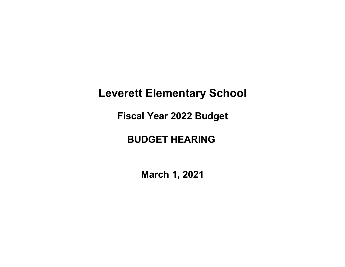# Leverett Elementary School

Fiscal Year 2022 Budget

## BUDGET HEARING

March 1, 2021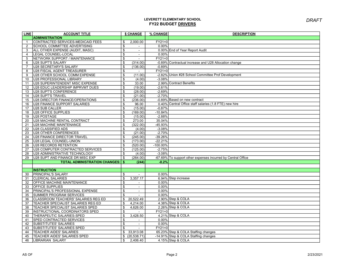| <b>LINE</b>     | <b>ACCOUNT TITLE</b>                      |                           | \$ CHANGE      | % CHANGE    | <b>DESCRIPTION</b>                                           |
|-----------------|-------------------------------------------|---------------------------|----------------|-------------|--------------------------------------------------------------|
|                 | <b>ADMINISTRATION</b>                     |                           |                |             |                                                              |
| $\mathbf{1}$    | CONTRACTED SERVICES-MEDICAID FEES         | \$                        | 2,000.00       | $FY21=0$    |                                                              |
| $\overline{2}$  | SCHOOL COMMITTEE ADVERTISING              | \$                        | $\blacksquare$ | 0.00%       |                                                              |
| 3               | ALL OTHER EXPENSE (AUDIT, MASC)           | \$                        | $\blacksquare$ |             | 0.00% End of Year Report Audit                               |
| $\overline{4}$  | LEGAL COUNSEL-LOCAL                       | \$                        | $\blacksquare$ | 0.00%       |                                                              |
| 5               | NETWORK SUPPORT / MAINTENANCE             | \$                        |                | $FY21=0$    |                                                              |
| 6               | U28 SUPT'S SALARY                         | \$                        | (314.00)       |             | -0.89% Contractual increase and U28 Allocation change        |
| $\overline{7}$  | U28 SECRETARY'S SALARY                    | \$                        | (136.00)       | $-0.89%$    |                                                              |
| 8               | <b>U28 FISCAL AGENT TREASURER</b>         | \$                        | $\sim$         | $FY21=0$    |                                                              |
| 9               | U28 OTHER SCHOOL COMM EXPENSE             | \$                        | (11.00)        |             | -2.82% Union #28 School Committee Prof Development           |
| 10              | U28 PROFESSIONAL LIBRARY                  | \$                        | (4.00)         | $-3.08%$    |                                                              |
| 11              | U28 SUPERINTENDENT MISC EXPENSE           | \$                        | 33.00          |             | 2.99% Contract Benefits                                      |
| 12              | U28 EDUC LEADERSHIP IMPRVMT DUES          | \$                        | (19.00)        | $-2.61%$    |                                                              |
| 13              | <b>U28 SUPT'S CONFERENCE</b>              | \$                        | (28.00)        | $-2.69%$    |                                                              |
| 14              | <b>U28 SUPT'S TRAVEL</b>                  | \$                        | (21.00)        | $-2.70%$    |                                                              |
| 15              | U28 DIRECTOR FINANCE/OPERATIONS           | $\boldsymbol{\mathsf{s}}$ | (236.00)       |             | -0.89% Based on new contract                                 |
| 16              | U28 FINANCE SUPPORT SALARIES              | \$                        | 96.00          |             | 0.40% Central Office staff salaries (1.8 FTE) new hire       |
| 17              | <b>U28 SUB CALLER</b>                     | \$                        | (15.00)        | $-0.87%$    |                                                              |
| 18              | <b>U28 OFFICE SUPPLIES</b>                | \$                        | (169.00)       | $-10.84%$   |                                                              |
| 19              | U28 POSTAGE                               | $\boldsymbol{\mathsf{s}}$ | (15.00)        | $-2.88%$    |                                                              |
| 20              | U28 MACHINE RENTAL CONTRACT               | $\boldsymbol{\mathsf{s}}$ | 273.00         | 35.04%      |                                                              |
| 21              | <b>U28 MACHINE MAINTENANCE</b>            | \$                        | (322.00)       | $-45.93%$   |                                                              |
| $\overline{22}$ | <b>U28 CLASSIFIED ADS</b>                 | \$                        | (4.00)         | $-3.08%$    |                                                              |
| 23              | <b>U28 OTHER CONFERENCES</b>              | \$                        | (21.00)        | $-2.70%$    |                                                              |
| 24              | <b>U28 FINANCE DIRECTOR TRAVEL</b>        | $\boldsymbol{\mathsf{s}}$ | (245.00)       | $-39.26%$   |                                                              |
| $\overline{25}$ | U28 LEGAL COUNSEL-UNION                   | $\boldsymbol{\mathsf{s}}$ | (173.00)       | $-22.21%$   |                                                              |
| $\overline{26}$ | <b>U28 RECORDS RETENTION</b>              | $\boldsymbol{\mathsf{s}}$ | (520.00)       | $-100.00\%$ |                                                              |
| 27              | <b>U28 COMPUTER CONTRACTED SERVICES</b>   | $\boldsymbol{\mathsf{s}}$ | (125.00)       | $-2.75%$    |                                                              |
| 28              | U28 ADMINISTRATIVE TECHNOLOGY             | $\boldsymbol{\mathsf{s}}$ | (4.00)         | $-3.08%$    |                                                              |
| 29              | U28 SUPT AND FINANCE DR MISC EXP          | \$                        | (264.00)       |             | -67.69% To support other expenses incurred by Central Office |
|                 | <b>TOTAL ADMINISTRATION CHANGES:   \$</b> |                           | (244)          | $-0.2%$     |                                                              |
|                 |                                           |                           |                |             |                                                              |
|                 | <b>INSTRUCTION</b>                        |                           |                |             |                                                              |
| 30              | <b>PRINCIPAL'S SALARY</b>                 | \$                        | $\blacksquare$ | 0.00%       |                                                              |
| 31              | <b>CLERICAL SALARIES</b>                  | \$                        | 3,357.17       |             | 6.94% Step increase                                          |
| 32              | <b>OFFICE MACHINE MAINTENANCE</b>         | \$                        | $\blacksquare$ | 0.00%       |                                                              |
| 33              | <b>OFFICE SUPPLIES</b>                    | \$                        | $\blacksquare$ | 0.00%       |                                                              |
| 34              | PRINCIPAL'S PROFESSIONAL EXPENSE          | \$                        | $\blacksquare$ | 0.00%       |                                                              |
| 35              | <b>SUMMER PROGRAM SERVICES</b>            | \$                        |                | 0.00%       |                                                              |
| 36              | CLASSROOM TEACHERS' SALARIES REG ED       | \$                        | 20,522.49      |             | 2.90% Step & COLA                                            |
| 37              | TEACHER SPECIALIST SALARIES REG ED        | \$                        | 4.214.00       |             | 4.38% Step & COLA                                            |
| 38              | TEACHER SPECIALIST SALARIES SPED          | \$                        | 4,626.00       |             | 2.26% Step & COLA                                            |
| 39              | INSTRUCTIONAL COORDINATORS SPED           | \$                        |                | $FY21=0$    |                                                              |
| 40              | THERAPEUTIC SALARIES-SPED                 | \$                        | 3,428.50       |             | 4.21% Step & COLA                                            |
| 41              | SPED CONTRACTED SERVICES                  | \$                        | $\blacksquare$ | 0.00%       |                                                              |
| 42              | SUBSTITUTES' SALARIES                     | $\boldsymbol{\mathsf{s}}$ | $\blacksquare$ | 0.00%       |                                                              |
| 43              | SUBSTITUTES' SALARIES SPED                | \$                        |                | $FY21=0$    |                                                              |
| 44              | <b>TEACHER AIDES' SALARIES</b>            | \$                        | 33,913.08      |             | 65.23% Step & COLA Staffing changes                          |
| 45              | TEACHER AIDES' SALARIES SPED              | \$                        | (20, 538.71)   |             | -14.91% Step & COLA Staffing changes                         |
| 46              | LIBRARIAN SALARY                          | \$                        | 2,406.40       |             | 4.15% Step & COLA                                            |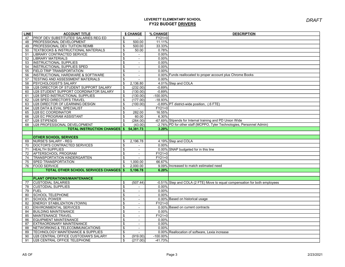| <b>LINE</b> | <b>ACCOUNT TITLE</b>                          |                         | \$ CHANGE      | % CHANGE    | <b>DESCRIPTION</b>                                                         |
|-------------|-----------------------------------------------|-------------------------|----------------|-------------|----------------------------------------------------------------------------|
| 47          | <b>PROF DEV SUBSTITUTES' SALARIES REG ED</b>  | \$                      |                | $FY21=0$    |                                                                            |
| 48          | PROFESSIONAL DEVELOPMENT                      | \$                      | 500.00         | 11.11%      |                                                                            |
| 49          | PROFESSIONAL DEV TUITION REIMB                | \$                      | 500.00         | 33.33%      |                                                                            |
| 50          | TEXTBOOKS & INSTRUCTIONAL MATERIALS           | \$                      | 50.00          | 0.78%       |                                                                            |
| 51          | <b>LIBRARY CONTRACTED SERVICE</b>             | \$                      | $\sim$         | 0.00%       |                                                                            |
| 52          | <b>LIBRARY MATERIALS</b>                      | \$                      | $\sim$         | 0.00%       |                                                                            |
| 53          | <b>INSTRUCTIONAL SUPPLIES</b>                 | \$                      | $\blacksquare$ | 0.00%       |                                                                            |
| 54          | INSTRUCTIONAL SUPPLIES SPED                   | \$                      | $\sim$         | 0.00%       |                                                                            |
| 55          | <b>FIELD TRIP TRANSPORTATION</b>              | \$                      | $\sim$         | 0.00%       |                                                                            |
| 56          | INSTRUCTIONAL HARDWARE & SOFTWARE             | \$                      | $\blacksquare$ |             | 0.00% Funds reallocated to proper account plus Chrome Books                |
| 57          | TESTING AND ASSESSMENT MATERIALS              | \$                      |                | 0.00%       |                                                                            |
| 58          | <b>PSYCHOLOGIST'S SALARY</b>                  | \$                      | 2,136.80       |             | 4.01% Step and COLA                                                        |
| 59          | U28 DIRECTOR OF STUDENT SUPPORT SALARY        | \$                      | (232.00)       | $-0.89%$    |                                                                            |
| 60          | U28 STUDENT SUPPORT COORDINATOR SALARY        | \$                      | (130.00)       | $-0.89%$    |                                                                            |
| 61          | U28 SPED INSTRUCTIONAL SUPPLIES               | \$                      | (130.00)       | $-100.00\%$ |                                                                            |
| 62          | U28 SPED DIRECTOR'S TRAVEL                    | \$                      | (177.00)       | $-18.93%$   |                                                                            |
| 63          | U28 DIRECTOR OF LEARNING DESIGN               | \$                      | (100.00)       |             | -0.89% PT district-wide position, (.6 FTE)                                 |
| 64          | U28 DATA & EVAL SPECIALIST                    | \$                      | $\sim$         | $FY21=0$    |                                                                            |
| 65          | U28 EC COORDINATOR                            | \$                      | 282.00         | 16.55%      |                                                                            |
| 66          | U28 EC PROGRAM ASSISTANT                      | \$                      | 60.00          | 6.30%       |                                                                            |
| 67          | U28 STIPENDS                                  | \$                      | (264.00)       |             | -67.69% Stipends for Internal training and PD Union Wide                   |
| 68          | U28 PROFESSIONAL DEVELOPMENT                  | \$                      | (43.00)        |             | -2.76% PD for other staff (MCPPO, Tyler Technologies, Personnel Admin)     |
|             | <b>TOTAL INSTRUCTION CHANGES</b> \$           |                         | 54,381.73      | 3.20%       |                                                                            |
|             |                                               |                         |                |             |                                                                            |
|             | <b>OTHER SCHOOL SERVICES</b>                  |                         |                |             |                                                                            |
| 69          | NURSE'S SALARY - REG                          | \$                      | 2,196.78       |             | 4.19% Step and COLA                                                        |
| 70          | DOCTOR'S CONTRACTED SERVICES                  | \$                      |                | 0.00%       |                                                                            |
| 71          | <b>HEALTH SUPPLIES</b>                        | \$                      | $\sim$         |             | 0.00% SNAP budgeted for in this line                                       |
| 72          | AFTERSCHOOL PROGRAM                           | $\mathfrak{S}$          | $\blacksquare$ | $FY21=0$    |                                                                            |
| 74          | <b>TRANSPORTATION KINDERGARTEN</b>            | \$                      | $\blacksquare$ | $FY21=0$    |                                                                            |
| 75          | SPED TRANSPORTATION                           | \$                      | 1,000.00       | 66.67%      |                                                                            |
| 76          | <b>FOOD SERVICE</b>                           | \$                      | 2,000.00       |             | 9.09% Increased to match estimated need                                    |
|             | <b>TOTAL OTHER SCHOOL SERVICES CHANGES \$</b> |                         | 5,196.78       | 6.20%       |                                                                            |
|             |                                               |                         |                |             |                                                                            |
|             | PLANT OPERATIONS/MAINTENANCE                  |                         |                |             |                                                                            |
| 77          | <b>CUSTODIAL SALARIES</b>                     | \$                      | (507.44)       |             | -0.51% Step and COLA (2 FTE) Move to equal compensation for both employees |
| 78          | <b>CUSTODIAL SUPPLIES</b>                     | \$                      | $\sim$         | 0.00%       |                                                                            |
| 79          | <b>FUEL</b>                                   | \$                      | $\sim$         | 0.00%       |                                                                            |
| 80          | <b>SCHOOL TELEPHONE</b>                       | \$                      | $\blacksquare$ | 0.00%       |                                                                            |
| 81          | <b>SCHOOL POWER</b>                           | \$                      | $\blacksquare$ |             | 0.00% Based on historical usage                                            |
| 82          | <b>ENERGY STABILIZATION (TOWN)</b>            | \$                      | $\sim$         | $FY21=0$    |                                                                            |
| 83          | <b>ENVIRONMENTAL SERVICES</b>                 | \$                      | $\blacksquare$ |             | 0.00% Based on current contracts                                           |
| 84          | <b>BUILDING MAINTENANCE</b>                   | \$                      | $\blacksquare$ | 0.00%       |                                                                            |
| 85          | MAINTENANCE TRAVEL                            | \$                      | $\blacksquare$ | $FY21=0$    |                                                                            |
| 86          | <b>EQUIPMENT MAINTENANCE</b>                  | $\overline{\mathbb{S}}$ | $\blacksquare$ | 0.00%       |                                                                            |
| 87          | <b>EXTRAORDINARY MAINTENANCE</b>              | \$                      | $\blacksquare$ | 0.00%       |                                                                            |
| 88          | NETWORKING & TELECOMMUNICATIONS               | \$                      | $\blacksquare$ | 0.00%       |                                                                            |
| 89          | TECHNOLOGY MAINTENANCE & SUPPLIES             | \$                      |                |             | 0.00% Reallocation of software, Lexia increase                             |
| 90          | U28 CENTRAL OFFICE CUSTODIAN'S SALARY         | \$                      | (919.00)       | $-100.00\%$ |                                                                            |
| 91          | U28 CENTRAL OFFICE TELEPHONE                  | \$                      | (217.00)       | $-41.73%$   |                                                                            |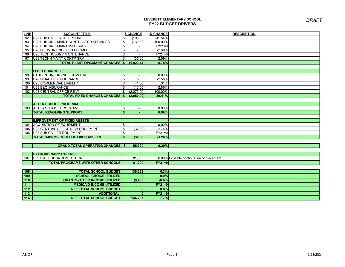| <b>LINE</b> | <b>ACCOUNT TITLE</b>                      |     | \$ CHANGE                | % CHANGE    | <b>DESCRIPTION</b>                       |
|-------------|-------------------------------------------|-----|--------------------------|-------------|------------------------------------------|
| 92          | U28 SUB CALLER TELEPHONE                  | \$  | (108.00)                 | $-41.54%$   |                                          |
| 93          | U28 BUILDING MAINT CONTRACTED SERVICES    | \$  | (130.00)                 | $-100.00\%$ |                                          |
| 94          | <b>U28 BUILDING MAINT MATERIALS</b>       | \$  |                          | $FY21=0$    |                                          |
| 95          | U28 NETWORKING & TELECOMM                 | \$  | (7.00)                   | $-2.69%$    |                                          |
| 96          | <b>U28 TECHNOLOGY MAINTENANCE</b>         | \$  |                          | $FY21=0$    |                                          |
| 97          | <b>U28 TECHN MAINT CONTR SRV</b>          | \$  | (35.00)                  | $-2.69%$    |                                          |
|             | <b>TOTAL PLANT OPS/MAINT CHANGES   \$</b> |     | (1.923.44)               | $-0.78%$    |                                          |
|             |                                           |     |                          |             |                                          |
|             | <b>FIXED CHARGES</b>                      |     |                          |             |                                          |
| 98          | <b>ISTUDENT INSURANCE COVERAGE</b>        | \$  |                          | $0.00\%$    |                                          |
| 99          | U28 DISABILITY INSURANCE                  | \$  | (5.00)                   | $-2.56%$    |                                          |
| 100         | IU28 COMMERCIAL LIABILITY                 | \$  | 41.00                    | 1.31%       |                                          |
| 101         | <b>U28 E&amp;O INSURANCE</b>              | \$  | (13.00)                  | $-2.86%$    |                                          |
| 102         | U28 CENTRAL OFFICE RENT                   | \$  | (2,073.00)               | $-100.00\%$ |                                          |
|             | <b>TOTAL FIXED CHARGES CHANGES   \$</b>   |     | (2.050.00)               | $-30.41%$   |                                          |
|             |                                           |     |                          |             |                                          |
|             | <b>AFTER SCHOOL PROGRAM</b>               |     |                          |             |                                          |
| 103         | <b>AFTER SCHOOL PROGRAM</b>               | \$  | $\overline{\phantom{a}}$ | $0.00\%$    |                                          |
|             | <b>TOTAL REVOLVING SUPPORT</b>            | \$. |                          | 0.00%       |                                          |
|             |                                           |     |                          |             |                                          |
|             | <b>IIMPROVEMENT OF FIXED ASSETS</b>       |     |                          |             |                                          |
| 104         | <b>ACQUISTION OF EQUIPMENT</b>            | \$  | $\blacksquare$           | $0.00\%$    |                                          |
| 105         | U28 CENTRAL OFFICE NEW EQUIPMENT          | \$  | (32.00)                  | $-2.74%$    |                                          |
| 106         | U28 SUB CALLER EQUIPMENT                  | \$  |                          | $FY21=0$    |                                          |
|             | <b>TOTAL IMPROVEMENT OF FIXED ASSETS</b>  | -\$ | (32.00)                  | $-1.20%$    |                                          |
|             |                                           |     |                          |             |                                          |
|             | <b>GRAND TOTAL OPERATING CHANGES \$</b>   |     | 55.329                   | 6.29%       |                                          |
|             |                                           |     |                          |             |                                          |
|             | <b>EXTRORDINARY EXPENSE</b>               |     |                          |             |                                          |
| 107         | <b>ISPECIAL EDUCATION TUITION</b>         |     | 81,000                   |             | 0.00% Possible continuation of placement |
|             | <b>TOTAL PROGRAMS WITH OTHER SCHOOLS</b>  |     | 81.000                   | $FY21=0$    |                                          |

| 108 | <b>TOTAL SCHOOL BUDGET!</b>          | 136,329 | 6.3%     |  |
|-----|--------------------------------------|---------|----------|--|
| 109 | <b>SCHOOL CHOICE UTILIZED</b>        |         | 0.0%     |  |
| 110 | <b>GRANTS/OTHER INCOME UTILIZEDI</b> | (8,408) | $-6.0%$  |  |
| 111 | <b>MEDICAID INCOME UTILIZED</b>      |         | $FY21=0$ |  |
| 112 | <b>NET TOTAL SCHOOL BUDGET</b>       |         | 0.0%     |  |
| 113 | <b>ADDITIONAL</b>                    |         | $FY21=0$ |  |
| 114 | <b>NET TOTAL SCHOOL BUDGET</b>       | 144,737 | 7.7%     |  |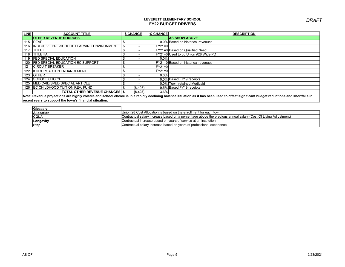| <b>LINE</b> | <b>ACCOUNT TITLE</b>                          | \$ CHANGE | % CHANGE | <b>DESCRIPTION</b>                                                                                                                                                                        |
|-------------|-----------------------------------------------|-----------|----------|-------------------------------------------------------------------------------------------------------------------------------------------------------------------------------------------|
|             | <b>OTHER REVENUE SOURCES</b>                  |           |          | <b>AS SHOW ABOVE</b>                                                                                                                                                                      |
|             | 115 REAP                                      | -         |          | 0.0% Based on historical revenues                                                                                                                                                         |
|             | 116 INCLUSIVE PRE-SCHOOL LEARNING ENVIRONMENT |           | $FY21=0$ |                                                                                                                                                                                           |
|             | 117 TITLE I                                   |           |          | FY21=0 Based on Qualified Need                                                                                                                                                            |
| 118         | <b>TITLE IIA</b>                              |           |          | FY21=0 Used to do Union #28 Wide PD                                                                                                                                                       |
| 119         | <b>IFED SPECIAL EDUCATION</b>                 |           | $0.0\%$  |                                                                                                                                                                                           |
| 120         | <b>FED SPECIAL EDUCATION EC SUPPORT</b>       |           |          | FY21=0 Based on historical revenues                                                                                                                                                       |
| 121         | <b>ICIRCUIT BREAKER</b>                       |           | $FY21=0$ |                                                                                                                                                                                           |
| 122         | <b>KINDERGARTEN ENHANCEMENT</b>               |           | $FY21=0$ |                                                                                                                                                                                           |
|             | 123 <b>JOTHER</b>                             |           | 0.0%     |                                                                                                                                                                                           |
| 124         | <b>ISCHOOL CHOICE</b>                         |           |          | 0.0% Based FY19 receipts                                                                                                                                                                  |
|             | 125 MEDICAID/SPED SPECIAL ARTICLE             |           |          | 0.0% Town retained Medicaid                                                                                                                                                               |
| 126         | <b>IEC CHILDHOOD TUITION REV. FUND</b>        | (8,408)   |          | -9.5% Based FY19 receipts                                                                                                                                                                 |
|             | <b>TOTAL OTHER REVENUE CHANGES   \$</b>       | (8.408)   | $-3.6%$  |                                                                                                                                                                                           |
|             |                                               |           |          | Note: Revenue projections are bigbly volatile and school choice is in a rapidly declining balance situation as it has been used to offset significant budget reductions and shortfalls in |

Note: Revenue projections are highly volatile and school choice is in a rapidly declining balance situation as it has been used to offset significant budget reductions and shortfalls in recent years to support the town's financial situation.

| Glossary          |                                                                                                                |
|-------------------|----------------------------------------------------------------------------------------------------------------|
| <b>Allocation</b> | Union 28 Cost Allocation is based on the enrollment for each town                                              |
| <b>COLA</b>       | Contractual salary increase based on a percentage above the previous annual salary (Cost Of Living Adjustment) |
| Longevity         | Contractual increase based on vears of service at an institution                                               |
| Step              | Contractual salary increase based on years of professional experience                                          |

DRAFT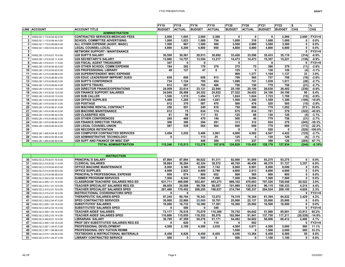|    |                             |                                          | FY <sub>18</sub> | <b>FY18</b>   | FY <sub>19</sub> | FY <sub>19</sub> | FY <sub>20</sub> | <b>FY20</b>   | <b>FY21</b>   | FY <sub>22</sub> | l\$          | %          |
|----|-----------------------------|------------------------------------------|------------------|---------------|------------------|------------------|------------------|---------------|---------------|------------------|--------------|------------|
|    | <b>LINE ACCOUNT</b>         | <b>ACCOUNT TITLE</b>                     | <b>BUDGET</b>    | <b>ACTUAL</b> | <b>BUDGET</b>    | <b>ACTUAL</b>    | <b>BUDGET</b>    | <b>ACTUAL</b> | <b>BUDGET</b> | <b>BUDGET</b>    | <b>CHG</b>   | <b>CHG</b> |
|    |                             | <b>ADMINISTRATION</b>                    |                  |               |                  |                  |                  |               |               |                  |              |            |
| 1  | 10002.02.1.110.8.04.42.0.00 | <b>CONTRACTED SERVICES-MEDICAID FEES</b> | 2.000            | 1,693         | 2,000            | 2,368            | 0                | 0             | 0             | 2,000            | 2,000        | FY21=0     |
| 2  | 10002.02.1.110.8.06.44.0.00 | <b>SCHOOL COMMITTEE ADVERTISING</b>      | 1.000            | 1.023         | 1.000            | 754              | 1.000            | 318           | 1.000         | 1.000            | $\Omega$     | $0.0\%$    |
| 3  | 10002.02.1.110.8.06.69.0.00 | ALL OTHER EXPENSE (AUDIT, MASC)          | 1.500            | 987           | 1.500            | 500              | 3.500            | 2.969         | 3.500         | 3.500            | $\mathbf{0}$ | $0.0\%$    |
| 4  | 10002.02.1.430.8.04.40.0.00 | <b>LEGAL COUNSEL-LOCAL</b>               | 4.800            | 5.200         | 4.800            | 950              | 4.800            | 4.800         | 4,800         | 4,800            | $\mathbf{0}$ | $0.0\%$    |
| 5  |                             | <b>NETWORK SUPPORT / MAINTENANCE</b>     |                  |               |                  |                  |                  |               |               |                  | $\mathbf{0}$ | FY21=0     |
| 6  | 10002.28.1.210.8.01.10.0.00 | <b>U28 SUPT'S SALARY</b>                 | 30.550           | 30.561        | 29.913           | 30.692           | 33.428           | 33.598        | 35.433        | 35.119           | (314)        | $-0.9%$    |
| 7  | 10002.28.1.210.8.02.11.0.00 | <b>U28 SECRETARY'S SALARY</b>            | 13.866           | 14.757        | 13,554           | 13.217           | 14,473           | 14.473        | 15.357        | 15,221           | (136)        | $-0.9%$    |
| 8  | 10002.28.1.410.8.01.11.0.00 | <b>U28 FISCAL AGENT TREASURER</b>        | 347              | 0             | 0                |                  | 0                |               | 0             |                  | 0            | FY21=0     |
| 9  | 10002.28.1.210.8.04.42.0.00 | <b>U28 OTHER SCHOOL COMM EXPENSE</b>     | 184              | 282           | 176              | 370              | 375              | 75            | 390           | 379              | (11)         | $-2.8%$    |
| 10 | 10002.28.1.210.8.05.63.0.00 | <b>U28 PROFESSIONAL LIBRARY</b>          | 49               | 127           | 47               | $\mathbf{0}$     | 125              | 0             | 130           | 126              | (4)          | $-3.1%$    |
| 11 | 10002.28.1.210.8.06.66.0.00 | <b>U28 SUPERINTENDENT MISC EXPENSE</b>   |                  |               |                  |                  | 969              | 1,377         | 1,104         | 1,137            | 33           | 3.0%       |
| 12 | 10002.28.1.210.8.06.60.0.00 | <b>U28 EDUC LEADERSHIP IMPRVMT DUES</b>  | 636              | 608           | 658              | 913              | 700              | 565           | 727           | 708              | (19)         | $-2.6%$    |
| 13 | 10002.28.1.210.8.06.62.0.00 | <b>U28 SUPT'S CONFERENCE</b>             | 734              | 1.124         | 705              | 454              | 1,000            | 741           | 1.039         | 1,011            | (28)         | $-2.7%$    |
| 14 | 10002.28.1.210.8.06.64.0.00 | <b>U28 SUPT'S TRAVEL</b>                 | 612              | 587           | 705              | 466              | 750              | 150           | 779           | 758              | (21)         | $-2.7%$    |
| 15 | 10002.28.1.410.8.01.10.0.00 | <b>U28 DIRECTOR FINANCE/OPERATIONS</b>   | 24.959           | 23.614        | 23,121           | 22.944           | 25,100           | 25.100        | 26,638        | 26,402           | (236)        | $-0.9%$    |
| 16 | 10002.28.1.410.8.02.12.0.00 | <b>U28 FINANCE SUPPORT SALARIES</b>      | 24.848           | 26.488        | 24.322           | 24.932           | 27,522           | 24.652        | 24.100        | 24.196           | 96           | 0.4%       |
| 17 | 10002.28.1.410.8.03.13.0.00 | <b>U28 SUB CALLER</b>                    | 1.526            | 1.519         | 1.494            | 1.473            | 1.624            | 1.624         | 1.723         | 1.708            | (15)         | $-0.9%$    |
| 18 | 10002.28.1.410.8.05.50.0.00 | <b>U28 OFFICE SUPPLIES</b>               | 1.468            | 1.285         | 1,409            | 1.041            | 1.500            | 1.380         | 1.559         | 1,390            | (169)        | $-10.8%$   |
| 19 | 10002.28.1.410.8.05.51.0.00 | <b>U28 POSTAGE</b>                       | 612              | 370           | 587              | 470              | 500              | 476           | 520           | 505              | (15)         | $-2.9%$    |
| 20 | 10002.28.1.410.8.06.41.0.00 | <b>U28 MACHINE RENTAL CONTRACT</b>       | 250              | 591           | 240              | 618              | 750              | 668           | 779           | 1,052            | 273          | 35.0%      |
| 21 | 10002.28.1.410.8.06.43.0.00 | <b>U28 MACHINE MAINTENANCE</b>           | 612              | 75            | 634              | 174              | 675              | 614           | 701           | 379              | (322)        | $-45.9%$   |
| 22 | 10002.28.1.410.8.06.44.0.00 | <b>U28 CLASSIFIED ADS</b>                | 61               | 58            | 117              | 53               | 125              | 98            | 130           | 126              | (4)          | $-3.1%$    |
| 23 | 10002.28.1.410.8.06.62.0.00 | <b>U28 OTHER CONFERENCES</b>             | 245              | 468           | 470              | 140              | 500              | 46            | 779           | 758              | (21)         | $-2.7%$    |
| 24 | 10002.28.1.410.8.06.64.0.00 | <b>U28 FINANCE DIRECTOR TRAVEL</b>       | 306              | 306           | 294              | 291              | 313              | 312           | 624           | 379              | (245)        | $-39.3%$   |
| 25 | 10002.28.1.430.8.06.40.0.00 | <b>U28 LEGAL COUNSEL-UNION</b>           | 587              | 538           | 564              | 564              | 600              | 600           | 779           | 606              | (173)        | $-22.2%$   |
| 26 |                             | <b>U28 RECORDS RETENTION</b>             |                  |               |                  |                  | O                | 0             | 520           | 0                | (520)        | $-100.0%$  |
| 27 | 10002.28.1.450.8.04.42.0.00 | <b>U28 COMPUTER CONTRACTED SERVICES</b>  | 3,494            | 3,252         | 3,406            | 3,901            | 4,000            | 4,582         | 4,547         | 4,422            | (125)        | $-2.7%$    |
| 28 | 10002.28.1.450.8.05.50.0.00 | <b>U28 ADMINISTRATIVE TECHNOLOGY</b>     | 0                |               | 113              | 25               | 125              | 0             | 130           | 126              | (4)          | $-3.1%$    |
| 29 | 10002.28.1.450.8.06.50.0.00 | <b>U28 SUPT AND FINANCE DR MISC EXP</b>  |                  |               | 449              | 309              | 375              | 237           | 390           | 126              | (264)        | $-67.7%$   |
|    |                             | <b>TOTAL ADMINISTRATION</b>              | 115.246          | 115.513       | 112,278          | 107.619          | 124.829          | 119.455       | 128.178       | 127.934          | (244)        | $-0.19%$   |

|                                  | <b>INSTRUCTION</b>                             |         |         |         |         |         |         |         |         |              |          |
|----------------------------------|------------------------------------------------|---------|---------|---------|---------|---------|---------|---------|---------|--------------|----------|
| 30 10002.02.2.210.8.01.10.0.00   | <b>PRINCIPAL'S SALARY</b>                      | 87.864  | 87.864  | 89.622  | 91.311  | 92.000  | 91.000  | 93,275  | 93.275  | $\mathbf{0}$ | $0.0\%$  |
| 31 10002.02.2.210.8.02.11.0.00   | <b>CLERICAL SALARIES</b>                       | 39.884  | 36.284  | 42.324  | 38.572  | 46,705  | 46.456  | 48,370  | 51.727  | 3,357        | 6.9%     |
| 32 10002.02.2.210.8.04.43.0.00   | <b>OFFICE MACHINE MAINTENANCE</b>              | 8,000   | 9.360   | 8.000   | 7.742   | 8,000   | 6,901   | 8,000   | 8.000   |              | $0.0\%$  |
| 33 10002.02.2.210.8.05.50.0.00   | <b>OFFICE SUPPLIES</b>                         | 4.600   | 2.822   | 4.600   | 2,799   | 4,600   | 2,913   | 4,600   | 4.600   | 0            | $0.0\%$  |
| 10002.02.2.210.8.06.58.0.00      | <b>PRINCIPAL'S PROFESSIONAL EXPENSE</b>        | 800     | 674     | 800     | 652     | 800     | 585     | 800     | 800     |              | $0.0\%$  |
| 35 10002.02.2.302.0.00.15.0.00   | <b>SUMMER PROGRAM SERVICES</b>                 | 7.500   | 6,542   | 7,500   | 7,496   | 7,500   | 9,094   | 7,500   | 7,500   |              | $0.0\%$  |
| 36 10002.02.2.305.1.01.10.0.00   | <b>CLASSROOM TEACHERS' SALARIES REG ED</b>     | 631,711 | 489.690 | 652,401 | 493.273 | 689,102 | 470,603 | 707,526 | 728.048 | 20,522       | 2.9%     |
| 37 10002.02.2.310.1.01.10.0.00   | <b>TEACHER SPECIALIST SALARIES REG ED</b>      | 96.655  | 25.008  | 99,768  | 98.557  | 101,980 | 132,818 | 96,119  | 100,333 | 4,214        | 4.4%     |
| 38 10002.02.2.310.2.01.10.0.00   | <b>TEACHER SPECIALIST SALARIES SPED</b>        | 201,489 | 170.452 | 208,255 | 168.837 | 214,794 | 195,337 | 204.524 | 209.150 | 4,626        | 2.3%     |
| 39 10002.02.2.315.2.01.10.0.00   | <b>INSTRUCTIONAL COORDINATORS SPED</b>         | 0       |         |         |         |         |         |         |         |              | $FY21=0$ |
| 40 10002.02.2.320.2.01.10.0.00   | <b>THERAPEUTIC SALARIES-SPED</b>               | 97.245  | 89.784  | 76.343  | 72.072  | 76.319  | 76.364  | 81.394  | 84.822  | 3,429        | 4.2%     |
| 10002.02.2.320.2.04.47.0.00      | <b>SPED CONTRACTED SERVICES</b>                | 30,000  | 22,866  | 25,000  | 18,701  | 25,000  | 22,137  | 25,000  | 25,000  |              | $0.0\%$  |
| 42 10002.02.2.325.1.03.15.0.00   | <b>SUBSTITUTES' SALARIES</b>                   | 18,000  | 16,732  | 18,360  | 17,381  | 18,360  | 25.092  | 18,500  | 18.500  |              | $0.0\%$  |
| 43   10002.02.2.325.2.03.15.0.00 | <b>SUBSTITUTES' SALARIES SPED</b>              |         | 580     |         | 340     |         |         |         |         |              | $FY21=0$ |
| 44 10002.02.2.330.1.03.14.0.00   | <b>TEACHER AIDES' SALARIES</b>                 | 73.117  | 76.516  | 75,079  | 110.389 | 76.752  | 64.642  | 51.988  | 85.901  | 33,913       | 65.2%    |
| 45 10002.02.2.330.2.03.14.0.00   | <b>TEACHER AIDES' SALARIES SPED</b>            | 110,606 | 115,055 | 119,352 | 95.570  | 102,994 | 91,941  | 137,750 | 117,211 | (20, 539)    | $-14.9%$ |
| 46 10002.02.2.340.8.01.10.0.00   | <b>LIBRARIAN SALARY</b>                        | 36,795  | 47.309  | 50,278  | 51,171  | 54,482  | 54.602  | 58.006  | 60,412  | 2,406        | 4.1%     |
| 47 10002.02.2.355.1.03.15.0.00   | <b>PROF DEV SUBSTITUTES' SALARIES REG ED</b>   | 0       | 620     | U       | 110     | 0       | 502     |         |         |              | $FY21=0$ |
| 48 10002.02.2.357.1.04.47.0.00   | <b>PROFESSIONAL DEVELOPMENT</b>                | 4.500   | 2.189   | 4.500   | 3.030   | 4,500   | 5.871   | 4.500   | 5.000   | 500          | 11.1%    |
| 49 10002.02.2.357.1.06.58.0.00   | <b>PROFESSIONAL DEV TUITION REIMB</b>          |         |         |         |         | 1.500   | 0       | 1,500   | 2.000   | 500          | 33.3%    |
| 50 10002.02.2.410.1.05.50.0.00   | <b>TEXTBOOKS &amp; INSTRUCTIONAL MATERIALS</b> | 6,450   | 6,826   | 6,450   | 6,455   | 6,450   | 13,364  | 6,450   | 6,500   | 50           | $0.8\%$  |
| 51  10002.02.2.415.1.04.47.0.00  | <b>LIBRARY CONTRACTED SERVICE</b>              | 500     | 0       | 500     | 0       | 500     | 0       | 1,100   | 1,100   |              | $0.0\%$  |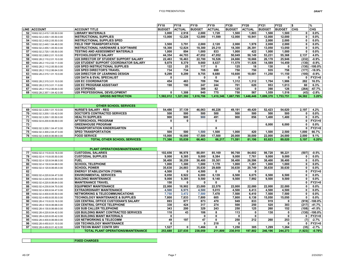|      |                                 |                                                | <b>FY18</b>   | FY18          | FY <sub>19</sub> | FY <sub>19</sub> | FY20          | <b>FY20</b>   | <b>FY21</b>   | FY22          | 1\$          | %ا        |
|------|---------------------------------|------------------------------------------------|---------------|---------------|------------------|------------------|---------------|---------------|---------------|---------------|--------------|-----------|
|      | LINE ACCOUNT                    | <b>ACCOUNT TITLE</b>                           | <b>BUDGET</b> | <b>ACTUAL</b> | <b>BUDGET</b>    | <b>ACTUAL</b>    | <b>BUDGET</b> | <b>ACTUAL</b> | <b>BUDGET</b> | <b>BUDGET</b> | <b>CHG</b>   | CHG.      |
|      | 52 10002.02.2.415.1.05.50.0.00  | LIBRARY MATERIALS                              | 3,000         | 2,918         | 2,000            | 1,728            | 1,500         | .803          | 1,500         | 1.500         | O            | $0.0\%$   |
|      | 53 10002.02.2.430.1.05.50.0.00  | <b>INSTRUCTIONAL SUPPLIES</b>                  | 13.000        | 12.228        | 12.000           | 11.599           | 12.000        | 10.941        | 12.000        | 12.000        | $\mathbf{0}$ | $0.0\%$   |
|      | 54 10002.02.2.430.2.05.50.0.00  | INSTRUCTIONAL SUPPLIES SPED                    |               |               |                  |                  |               |               | 2,000         | 2.000         | $\mathbf{0}$ | 0.0%      |
|      | 55 10002.02.2.440.1.04.46.0.00  | <b>FIELD TRIP TRANSPORTATION</b>               | 3.500         | 3,791         | 2.000            | 2.120            | 2,000         | 1.978         | 2,000         | 2.000         | $\Omega$     | $0.0\%$   |
|      | 56 10002.02.2.455.1.05.50.0.00  | <b>INSTRUCTIONAL HARDWARE &amp; SOFTWARE</b>   | 18.300        | 12.824        | 18.300           | 25.210           | 18.300        | 26,391        | 13.050        | 13.050        | $\mathbf{0}$ | 0.0%      |
|      | 57  10002.02.2.720.1.05.50.0.00 | <b>TESTING AND ASSESSMENT MATERIALS</b>        | 1.000         | 894           | 1.000            | 833              | 1.000         | 422           | 1,000         | 1.000         | $\Omega$     | $0.0\%$   |
|      | 58 10002.02.2.800.2.01.10.0.00  | <b>PSYCHOLOGIST'S SALARY</b>                   | 44.354        | 44.703        | 47.052           | 47.052           | 50,049        | 50,149        | 53.231        | 55.368        | 2,137        | 4.0%      |
|      | 59 10002.28.2.110.2.01.10.0.00  | U28 DIRECTOR OF STUDENT SUPPORT SALARY         | 22.463        | 16.463        | 22.700           | 16.526           | 24,666        | 18.666        | 26,178        | 25,946        | (232)        | $-0.9%$   |
|      | 60 10002.28.2.110.2.02.11.0.00  | <b>IU28 STUDENT SUPPORT COORDINATOR SALARY</b> | 9,879         | 8.379         | 9.660            | 8.637            | 11.579        | 11.926        | 14.589        | 14.459        | (130)        | $-0.9%$   |
|      | 61  10002.28.2.110.2.05.50.0.00 | <b>IU28 SPED INSTRUCTIONAL SUPPLIES</b>        | 122           | 25            | 117              | 0                | 125           | 18            | 130           |               | (130)        | $-100.0%$ |
|      | 62 10002.28.2.110.2.06.64.0.00  | <b>IU28 SPED DIRECTOR'S TRAVEL</b>             | 734           | 734           | 705              | 699              | 750           | 750           | 935           | 758           | (177)        | $-18.9%$  |
| 63 I | 10002.28.2.315.1.01.10.0.00     | <b>U28 DIRECTOR OF LEARNING DESIGN</b>         | 9,299         | 9.299         | 9,755            | 9,680            | 10,600        | 10.681        | 11.250        | 11,150        | (100)        | $-0.9%$   |
| 64   |                                 | U28 DATA & EVAL SPECIALIST                     |               |               | 0                | 0                |               |               |               |               |              | $FY21=0$  |
| 65   | 10002.28.2.315.3.01.10.0.00     | <b>U28 EC COORDINATOR</b>                      | 454           | 463           | 709              | 704              | 1,312         | 1.312         | 1.704         | 1,986         | 282          | 16.5%     |
|      | 66 10002.28.2.315.3.01.11.0.00  | U28 EC PROGRAM ASSISTANT                       | 190           | 190           | 247              | 244              | 701           | 620           | 953           | 1.013         | 60           | 6.3%      |
|      | 67  10002.28.2.110.2.06.64.0.00 | <b>IU28 STIPENDS</b>                           |               |               | 389              | 82               | 125           |               | 390           | 126           | (264)        | $-67.7%$  |
|      | 68 10002.28.2.357.1.04.42.0.00  | <b>U28 PROFESSIONAL DEVELOPMENT</b>            |               | 1,308         | 940              | 775              | 750           | 567           | 1,559         | 1,516         | (43)         | $-2.8%$   |
|      |                                 | <b>GROSS INSTRUCTION</b>                       | 1,582,012     | 1,321,392     | 1,616,706        | 1,410,346        | 1,667,795     | 1,446,446     | 1,699,370     | 1,753,751     | 54,382       | 3.20%     |

|    |                                | <b>OTHER SCHOOL SERVICES</b>         |        |        |        |        |        |        |        |        |       |          |
|----|--------------------------------|--------------------------------------|--------|--------|--------|--------|--------|--------|--------|--------|-------|----------|
|    | 69 10002.02.3.200.1.01.10.0.00 | <b>NURSE'S SALARY - REG</b>          | 54.486 | 37.139 | 46.063 | 46.226 | 49.191 | 49.420 | 52.423 | 54.620 | 2.197 | 4.2%     |
|    | 70 10002.02.3.200.1.03.42.0.00 | <b>IDOCTOR'S CONTRACTED SERVICES</b> | 500    | 500    | 500    | 500    | 500    | 500    | 500    | 500    |       | $0.0\%$  |
|    | 71 10002.02.3.200.1.05.50.0.00 | <b>HEALTH SUPPLIES</b>               | 900    | 900    | 900    | 491    | 900    | 856    | 1.400  | 1,400  |       | $0.0\%$  |
|    | 72 10002.02.6.200.8.06.69.0.00 | <b>AFTERSCHOOL PROGRAM</b>           |        |        |        |        |        |        |        |        |       | FY21=0   |
| 73 |                                | <b>GREENHOUSE PROGRAM</b>            |        |        |        |        |        |        | 6.000  | 6,000  |       | 0.0%     |
|    | 74 10002.02.3.200.1.04.47.0.00 | <b>TRANSPORTATION KINDERGARTEN</b>   |        |        |        |        |        |        |        |        |       | $FY21=0$ |
|    | 75 10002.02.3.300.2.04.47.0.00 | <b>ISPED TRANSPORTATION</b>          | 500    | 500    | 1.500  | 1.500  | 1.000  | 420    | 1.500  | 2.500  | 1.000 | 66.7%    |
|    | 76 10002.02.3.400.8.06.69.0.00 | <b>FOOD SERVICE</b>                  | 15.000 | 16.000 | 17.500 | 17.500 | 20,000 | 30.000 | 22.000 | 24.000 | 2.000 | 9.1%     |
|    |                                | <b>TOTAL OTHER SCHOOL SERVICES</b>   | 71,386 | 55,039 | 66.463 | 66.217 | 71.591 | 81.196 | 83.823 | 89.020 | 5,197 | 6.20%    |

|    |                             | <b>PLANT OPERATIONS/MAINTENANCE</b>          |         |         |              |             |         |         |         |         |          |           |
|----|-----------------------------|----------------------------------------------|---------|---------|--------------|-------------|---------|---------|---------|---------|----------|-----------|
| 77 | 10002.02.4.110.8.03.16.0.00 | <b>CUSTODIAL SALARIES</b>                    | 102.656 | 96.978  | 88.091       | 85.169      | 90,768  | 84.602  | 98.728  | 98.221  | (507)    | $-0.5%$   |
| 78 | 10002.02.4.110.8.05.50.0.00 | <b>CUSTODIAL SUPPLIES</b>                    | 9,000   | 8,385   | 9,000        | 8,384       | 9,000   | 7,761   | 9,000   | 9.000   | 0        | $0.0\%$   |
| 79 | 10002.02.4.120.8.04.66.0.00 | <b>FUEL</b>                                  | 38,400  | 38,259  | 38,400       | 35,301      | 38,400  | 26,596  | 38,400  | 38,400  | 0        | 0.0%      |
| 80 | 10002.02.4.130.8.04.68.0.00 | <b>SCHOOL TELEPHONE</b>                      | 1,000   | 1,300   | 1,000        | 1.178       | 1,000   | 1.261   | 1,000   | 1.000   | 0        | $0.0\%$   |
| 81 | 10002.02.4.120.8.06.65.0.00 | <b>SCHOOL POWER</b>                          | 35,630  | 24,883  | 35,630       | 29,609      | 30,630  | 20,749  | 30.630  | 30.630  | $\Omega$ | $0.0\%$   |
| 82 |                             | <b>ENERGY STABILIZATION (TOWN)</b>           | 4.500   |         | 4.500        | 0           | 0       | 0       |         |         | n        | $FY21=0$  |
| 83 | 10002.02.4.220.8.04.47.0.00 | <b>ENVIRONMENTAL SERVICES</b>                | 8,050   | 8,922   | 6,000        | 6,139       | 6,500   | 6,075   | 6,500   | 6,500   | 0        | $0.0\%$   |
| 84 | 10002.02.4.220.8.05.50.0.00 | <b>BUILDING MAINTENANCE</b>                  | 9,000   | 9.385   | 9.500        | 9.140       | 9.500   | 7.992   | 9.500   | 9.500   | n        | $0.0\%$   |
| 85 | 10002.02.4.220.8.06.64.0.00 | <b>MAINTENANCE TRAVEL</b>                    | 150     | 0       | 0            | 0           |         |         |         |         |          | $FY21=0$  |
| 86 | 10002.02.4.230.8.04.70.0.00 | <b>EQUIPMENT MAINTENANCE</b>                 | 22,000  | 18,902  | 23,000       | 22,578      | 22,000  | 22,080  | 22,000  | 22,000  |          | 0.0%      |
| 87 | 10002.02.4.300.8.04.47.0.00 | <b>EXTRAORDINARY MAINTENANCE</b>             | 4,500   | 6,975   | 4,500        | 5,015       | 4,500   | 6,413   | 4,500   | 4,500   | 0        | $0.0\%$   |
| 88 | 10002.02.4.400.8.05.50.0.00 | <b>NETWORKING &amp; TELECOMMUNICATIONS</b>   | 7,750   | 3,472   | 7,500        | 7.478       | 7,500   | 6,410   | 7,500   | 7.500   | $\Omega$ | 0.0%      |
| 89 | 10002.02.4.450.8.05.50.0.00 | <b>TECHNOLOGY MAINTENANCE &amp; SUPPLIES</b> | 7,800   | 7.833   | 7.800        | 605         | 7,800   | 6,138   | 15,050  | 15,050  | $\Omega$ | $0.0\%$   |
|    | 10002.28.4.110.8.03.16.0.00 | U28 CENTRAL OFFICE CUSTODIAN'S SALARY        | 893     | 877     | 873          | 470         | 949     | 833     | 919     | 0       | (919)    | $-100.0%$ |
| 91 | 10002.28.4.130.8.06.68.0.00 | <b>U28 CENTRAL OFFICE TELEPHONE</b>          | 330     | 424     | 317          | 274         | 500     | 250     | 520     | 303     | (217)    | $-41.7%$  |
| 92 | 10002.28.4.130.8.06.69.0.00 | <b>U28 SUB CALLER TELEPHONE</b>              | 343     | 200     | 329          | 243         | 250     | 125     | 260     | 152     | (108)    | $-41.5%$  |
| 93 | 10002.28.4.220.8.04.42.0.00 | U28 BUILDING MAINT CONTRACTED SERVICES       | 110     | 43      | 106          | 8           | 113     | 0       | 130     | 0       | (130)    | $-100.0%$ |
| 94 | 10002.28.4.220.8.05.42.0.00 | U28 BUILDING MAINT MATERIALS                 | 0       |         | 0            | 0           | 0       | 0       |         | 0       |          | FY21=0    |
| 95 | 10002.28.4.400.8.06.69.0.00 | <b>U28 NETWORKING &amp; TELECOMM</b>         | 49      | 197     | 47           | 0           | 250     | 212     | 260     | 253     | (7)      | $-2.7%$   |
| 96 | 10002.28.4.450.8.01.10.0.00 | <b>U28 TECHNOLOGY MAINTENANCE</b>            | 0       |         | $\mathbf{0}$ | 218         | 0       |         |         |         | n        | $FY21=0$  |
| 97 | 10002.28.4.450.8.01.42.0.00 | U28 TECHN MAINT CONTR SRV                    | 1,527   | 0       | 1,466        | $\mathbf 0$ | 1,250   | 305     | 1,299   | 1.264   | (35)     | $-2.7%$   |
|    |                             | <b>TOTAL PLANT OPERATIONS/MAINTENANCE</b>    | 253,688 | 227,035 | 238,059      | 211,809     | 230,910 | 197,802 | 246,196 | 244,273 | (1,923)  | $-0.78%$  |

#### FIXED CHARGES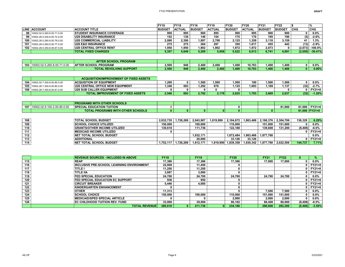|                                 |                                    | <b>FY18</b>   | <b>FY18</b>   | FY <sub>19</sub> | FY <sub>19</sub> | <b>FY20</b>   | <b>FY20</b>   | FY21          | FY22          |            |            |
|---------------------------------|------------------------------------|---------------|---------------|------------------|------------------|---------------|---------------|---------------|---------------|------------|------------|
| <b>LINE ACCOUNT</b>             | <b>ACCOUNT TITLE</b>               | <b>BUDGET</b> | <b>ACTUAL</b> | <b>BUDGET</b>    | <b>ACTUAL</b>    | <b>BUDGET</b> | <b>ACTUAL</b> | <b>BUDGET</b> | <b>BUDGET</b> | <b>CHG</b> | <b>CHG</b> |
| 98 10002.02.5.260.8.00.71.0.00  | <b>ISTUDENT INSURANCE COVERAGE</b> | 900           | 895           | 900              | 895              | 900           | 895           | 900           | 900           |            | $0.0\%$    |
| 99 10002.28.5.200.8.00.72.0.00  | <b>U28 DISABILITY INSURANCE</b>    | 152           | 139           | 146              | 154              | 175           | 170           | 195           | 190           | (5)        | $-2.6%$    |
| 100 10002.28.5.260.8.00.76.0.00 | <b>U28 COMMERCIAL LIABILITY</b>    | 2.080         | 2.390         | 1.997            | 2.708            | 2.125         | .359          | 3.118         | 3.159         | 41         | 1.3%       |
| 101 10002.28.5.260.8.00.77.0.00 | <b>U28 E&amp;O INSURANCE</b>       | 275           | 275           | 264              | 297              | 350           | 1.617         | 455           | 442           | (13)       | $-2.9%$    |
| 102 10002.28.5.350.8.00.67.0.00 | <b>U28 CENTRAL OFFICE RENT</b>     | .950          | 1.950         | 1.902            | 1.902            | 1.972         | 1.972         | 2.073         |               | (2.073)    | $-100.0%$  |
|                                 | <b>TOTAL FIXED CHARGES</b>         | 5,357         | 5,649         | 5.209            | 5,956            | 5.522         | 6.013         | 6.741         | 4,691         | (2,050)    | $-30.41%$  |

|     |                        | <b>PROGRAM</b><br><b>TER SCHOOL I</b>  |           |     |       |              |      |        |                   |       |   |          |
|-----|------------------------|----------------------------------------|-----------|-----|-------|--------------|------|--------|-------------------|-------|---|----------|
| 103 | .J2.5.260.8.00.71.0.00 | <b>PROGRAM</b><br><b>AFTER SCHOOL,</b> | ,<br>2.JU | 948 | 2.400 | 2,400        | .400 | 10.763 | ,400              | 400,١ | n | 0.0%     |
|     |                        | <b>TOTAL REVOLVING SUPPORT</b>         | 2,500     | 948 | 2.400 | $\angle 400$ | .400 | 10.763 | .400 <sub>1</sub> | (400) |   | $0.00\%$ |

|                                 | ACQUISITION/IMPROVEMENT OF FIXED ASSETS   |       |     |       |       |       |       |       |       |      |          |
|---------------------------------|-------------------------------------------|-------|-----|-------|-------|-------|-------|-------|-------|------|----------|
| 104 10002.02.7.300.8.00.80.0.00 | <b>ACQUISTION OF EQUIPMENT</b>            | .200  |     | 1.500 | .500  | 500،، | 100   | 1.500 | ,500  |      | 0.0%     |
| 105 10002.28.7.300.8.00.80.0.00 | <b>U28 CENTRAL OFFICE NEW EQUIPMENT</b>   | .346  | 693 | 1.292 | 678   | .125  | .693  | .169  | 1.137 | (32) | 2.7%     |
| 106 10002.28.7.300.8.00.81.0.00 | <b>U28 SUB CALLER EQUIPMENT</b>           |       |     |       |       |       |       |       |       |      | $FY21=0$ |
|                                 | <b>TOTAL IMPROVEMENT OF FIXED ASSETS.</b> | 2,546 | 693 | 2.792 | 2.178 | 2.625 | 1.793 | 2.669 | 2.637 | (32) | $-1.20%$ |

|     |                            | <b>PROGRAMS WITH OTHER SCHOOLS</b>       |  |          |    |  |        |        |               |
|-----|----------------------------|------------------------------------------|--|----------|----|--|--------|--------|---------------|
| 107 | 0002.02.9.100.2.00.85.0.00 | <b>SPECIAL EDUCATION TUITION</b>         |  |          |    |  | 81.000 | 81.000 | $FY21=0$      |
|     |                            | <b>TOTAL PROGRAMS WITH OTHER SCHOOLS</b> |  | $\Omega$ | 0. |  |        |        | 81,000 FY21=0 |

| 108 | <b>TOTAL SCHOOL BUDGET</b>          | 2.032.735 | 1.726.269 | 2.043.907 | 1.819.990 | 2.104.672 | 1.863.468 |                         | 2.168.376 2.304.706 | 136.329 | 6.29%         |
|-----|-------------------------------------|-----------|-----------|-----------|-----------|-----------|-----------|-------------------------|---------------------|---------|---------------|
| 109 | <b>SCHOOL CHOICE UTILIZED</b>       | 150.000   |           | 100.000   |           | 110.000   |           | 151.000                 | 151.000             |         | 0.0%          |
| 110 | <b>GRANTS/OTHER INCOME UTILIZED</b> | 130.618   |           | 111.736   |           | 122.188   |           | 139.608                 | 131.200             | (8,408) | $-6.0\%$      |
| 111 | <b>IMEDICAID INCOME UTILIZED</b>    |           |           |           |           |           |           |                         |                     |         | <b>FY21=0</b> |
| 112 | <b>NET TOTAL SCHOOL BUDGET</b>      |           |           | .832.171  |           | 1.872.484 |           | 1.863.468 1.877.768     |                     |         | $0.0\%$       |
| 113 | <b>ADDITIONAL</b>                   |           |           | 20.000    |           | 33.126    | 33.126    |                         |                     |         | <b>FY21=0</b> |
| 114 | <b>NET TOTAL SCHOOL BUDGET</b>      | 1.752.117 | 1.726.269 | 1.812.171 | 1.819.990 | 1,839,358 |           | $1,830,342$   1,877,768 | 2,022,506           | 144.737 | 7.71%         |

|     | <b>REVENUE SOURCES - INCLUDED IN ABOVE</b>       | <b>FY18</b> |    | <b>FY19</b> | <b>FY20</b> | <b>FY21</b> | <b>FY22</b> |          | %             |
|-----|--------------------------------------------------|-------------|----|-------------|-------------|-------------|-------------|----------|---------------|
| 115 | <b>REAP</b>                                      | 17.386      |    | 17.386      | 17.386      | 17.000      | 17.000      |          | $0.0\%$       |
| 116 | <b>INCLUSIVE PRE-SCHOOL LEARNING ENVIRONMENT</b> | 22.900      |    | 11.450      |             |             |             |          | $FY21=0$      |
| 117 | <b>ITITLE I</b>                                  | 11.250      |    | 11.250      |             |             |             |          | <b>FY21=0</b> |
| 118 | <b>TITLE IIA</b>                                 | 3.687       |    | 3,000       |             |             |             |          | <b>FY21=0</b> |
| 119 | <b>FED SPECIAL EDUCATION</b>                     | 24.700      |    | 24.700      | 24.700      | 24.700      | 24.700      |          | $0.0\%$       |
| 120 | <b>FED SPECIAL EDUCATION EC SUPPORT</b>          | 936         |    | 950         |             |             |             |          | <b>FY21=0</b> |
| 121 | <b>CIRCUIT BREAKER</b>                           | 5.446       |    | 4.000       |             |             |             |          | <b>FY21=0</b> |
| 122 | KINDERGARTEN ENHANCEMENT                         |             |    |             |             |             |             |          | <b>FY21=0</b> |
| 123 | <b>OTHER</b>                                     | 11.313      |    |             |             | 7.500       | 7.500       |          | $0.0\%$       |
| 124 | <b>SCHOOL CHOICE</b>                             | 150.000     |    | 100.000     | 110.000     | 151.000     | 151.000     |          | $0.0\%$       |
| 125 | IMEDICAID/SPED SPECIAL ARTICLE                   |             |    |             | 2.000       | 2.000       | 2.000       |          | $0.0\%$       |
| 126 | <b>EC CHILDHOOD TUITION REV. FUND</b>            | 33,000      |    | 39.000      | 80.102      | 88.408      | 80.000      | (8, 408) | $-9.5\%$      |
|     | <b>TOTAL REVENUE</b>                             | 280.618     | 0. | 211,736     | 234.188     | 290.608     | 282.200     | (8,408)  | $-3.59%$      |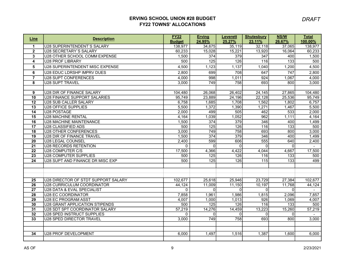## ERVING SCHOOL UNION #28 BUDGET FY22 TOWNS' ALLOCATIONS

| Line                               | <b>Description</b>                  | <b>FY22</b>   | <b>Erving</b>    | <b>Leverett</b>  | <b>Shutesbury</b> | <b>NS/W</b>             | <b>Total</b> |
|------------------------------------|-------------------------------------|---------------|------------------|------------------|-------------------|-------------------------|--------------|
|                                    |                                     | <b>Budget</b> | 24.95%           | 25.27%           | 23.11%            | 26.67%                  | 100.00%      |
| $\mathbf{1}$                       | U28 SUPERINTENDENT'S SALARY         | 138,977       | 34,675           | 35,119           | 32,118            | 37,065                  | 138,977      |
| $\mathbf{2}$                       | U28 SECRETARY'S SALARY              | 60,233        | 15,028           | 15,221           | 13,920            | 16,064                  | 60,233       |
| 3                                  | U28 OTHER SCHOOL COMM EXPENSE       | 1,500         | 374              | 379              | 347               | 400                     | 1,500        |
| $\overline{\mathbf{4}}$            | <b>U28 PROF LIBRARY</b>             | 500           | 125              | 126              | 116               | $\overline{133}$        | 500          |
| 5                                  | U28 SUPERINTENDENT MISC EXPENSE     | 4,500         | 1,123            | 1,137            | 1,040             | 1,200                   | 4,500        |
| $\overline{\mathbf{6}}$            | U28 EDUC LDRSHP IMPRV DUES          | 2,800         | 699              | 708              | 647               | 747                     | 2,800        |
| $\overline{7}$                     | <b>U28 SUPT CONFERENCES</b>         | 4,000         | 998              | 1,011            | 924               | 1,067                   | 4,000        |
| 8                                  | U28 SUPT TRAVEL                     | 3,000         | 749              | 758              | 693               | 800                     | 3,000        |
|                                    |                                     |               |                  |                  |                   |                         |              |
| 9                                  | U28 DIR OF FINANCE SALARY           | 104,480       | 26,068           | 26,402           | 24,145            | 27,865                  | 104,480      |
| $\overline{10}$                    | U28 FINANCE SUPPORT SALARIES        | 95,749        | 23,889           | 24,196           | 22,128            | 25,536                  | 95,749       |
| $\overline{12}$                    | U28 SUB CALLER SALARY               | 6,758         | 1,685            | 1,708            | 1,562             | 1,802                   | 6,757        |
| $\overline{13}$                    | U28 OFFICE SUPPLIES                 | 5,500         | 1,372            | 1,390            | 1,271             | 1,467                   | 5,500        |
| 14                                 | U28 POSTAGE                         | 2,000         | 499              | 505              | 462               | 533                     | 2,000        |
| 15                                 | <b>U28 MACHINE RENTAL</b>           | 4,164         | 1,039            | 1,052            | 962               | 1,111                   | 4,164        |
| $\overline{16}$                    | U28 MACHINE MAINTENANCE             | 1,500         | 374              | 379              | 346               | 400                     | 1,499        |
| $\overline{17}$                    | U28 CLASSIFIED ADS                  | 500           | 125              | 126              | 116               | $\overline{133}$        | 500          |
| 18                                 | U28 OTHER CONFERENCES               | 3,000         | $\overline{749}$ | $\overline{758}$ | 693               | 800                     | 3,000        |
| $\overline{19}$                    | U28 DIR OF FINANCE TRAVEL           | 1,500         | 374              | 379              | 346               | 400                     | 1,499        |
| $\overline{20}$                    | U28 LEGAL COUNSEL                   | 2,400         | 599              | 606              | 555               | 640                     | 2,400        |
| $\overline{21}$                    | U28 RECORDS RETENTION               | $\Omega$      | $\Omega$         | ΩI               | $\Omega$          | $\Omega$                | $\sim$       |
| $\overline{22}$                    | U28 COMPUTER C/S                    | 17,500        | 4,366            | 4,422            | 4,044             | 4,667                   | 17,500       |
| $\overline{23}$<br>$\overline{24}$ | U28 COMPUTER SUPPLIES               | 500<br>500    | 125<br>125       | 126<br>126       | 116<br>115        | $\overline{133}$<br>133 | 500<br>499   |
|                                    | U28 SUPT AND FINANCE DR MISC EXP    |               |                  |                  |                   |                         |              |
|                                    |                                     |               |                  |                  |                   |                         |              |
|                                    |                                     |               |                  |                  |                   |                         |              |
| $\overline{25}$                    | U28 DIRECTOR OF STDT SUPPORT SALARY | 102,677       | 25,618           | 25,946           | 23,729            | 27,384                  | 102,677      |
| $\overline{26}$                    | U28 CURRICULUM COORDINATOR          | 44,124        | 11,009           | 11,150           | 10,197            | 11,768                  | 44,124       |
| $\overline{27}$                    | U28 DATA & EVAL SPECIALIST          | $\Omega$      | $\Omega$         | $\Omega$         | $\Omega$          | $\mathbf{0}$            | $\sim$       |
| $\overline{28}$                    | U28 EC COORDINATOR                  | 7,858         | 1,961            | 1,986            | 1,815             | 2,096                   | 7,857        |
| $\overline{29}$                    | U28 EC PROGRAM ASST                 | 4,007         | 1,000            | 1,013            | 926               | 1,069                   | 4,007        |
| 30                                 | U28 GRANT APPLICATION STIPENDS      | 500           | 125              | 126              | 116               | $\overline{133}$        | 500          |
| 31                                 | U28 SDT SPT COORDINATOR SALARY      | 57,219        | 14,276           | 14,459           | 13,223            | 15,260                  | 57,219       |
| $\overline{32}$                    | U28 SPED INSTRUCT SUPPLIES          | $\Omega$      | <sup>0</sup>     | ΩI               | $\Omega$          | $\mathbf{0}$            |              |
| 33                                 | <b>U28 SPED DIRECTOR TRAVEL</b>     | 3,000         | 749              | 758              | 693               | 800                     | 3,000        |
|                                    |                                     |               |                  |                  |                   |                         |              |
|                                    |                                     |               |                  |                  |                   |                         |              |
| 34                                 | U28 PROF DEVELOPMENT                | 6,000         | 1,497            | 1,516            | 1,387             | 1,600                   | 6,000        |
|                                    |                                     |               |                  |                  |                   |                         |              |

DRAFT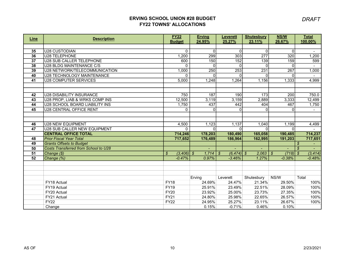## ERVING SCHOOL UNION #28 BUDGET FY22 TOWNS' ALLOCATIONS

| <b>Description</b>                   | <b>FY22</b>                                                                                                                                                                                                                                                                                                                                                                                                      | <b>Erving</b>                                                                                                                                                                                              | <b>Leverett</b>                                                                                                                                                                                            | <b>Shutesbury</b>                                                                                                                                                                         | <b>NS/W</b>                                                                                                                                        | <b>Total</b>                                                                                                                                                                                                                                                                                       |
|--------------------------------------|------------------------------------------------------------------------------------------------------------------------------------------------------------------------------------------------------------------------------------------------------------------------------------------------------------------------------------------------------------------------------------------------------------------|------------------------------------------------------------------------------------------------------------------------------------------------------------------------------------------------------------|------------------------------------------------------------------------------------------------------------------------------------------------------------------------------------------------------------|-------------------------------------------------------------------------------------------------------------------------------------------------------------------------------------------|----------------------------------------------------------------------------------------------------------------------------------------------------|----------------------------------------------------------------------------------------------------------------------------------------------------------------------------------------------------------------------------------------------------------------------------------------------------|
|                                      |                                                                                                                                                                                                                                                                                                                                                                                                                  |                                                                                                                                                                                                            |                                                                                                                                                                                                            |                                                                                                                                                                                           |                                                                                                                                                    | 100.00%                                                                                                                                                                                                                                                                                            |
|                                      |                                                                                                                                                                                                                                                                                                                                                                                                                  |                                                                                                                                                                                                            |                                                                                                                                                                                                            |                                                                                                                                                                                           |                                                                                                                                                    | $\blacksquare$                                                                                                                                                                                                                                                                                     |
|                                      |                                                                                                                                                                                                                                                                                                                                                                                                                  |                                                                                                                                                                                                            |                                                                                                                                                                                                            |                                                                                                                                                                                           |                                                                                                                                                    | 1,200                                                                                                                                                                                                                                                                                              |
|                                      |                                                                                                                                                                                                                                                                                                                                                                                                                  |                                                                                                                                                                                                            |                                                                                                                                                                                                            |                                                                                                                                                                                           |                                                                                                                                                    | 599                                                                                                                                                                                                                                                                                                |
| U28 BLDG MAINTENANCE C/S             | $\Omega$                                                                                                                                                                                                                                                                                                                                                                                                         | $\Omega$                                                                                                                                                                                                   | $\Omega$                                                                                                                                                                                                   | $\Omega$                                                                                                                                                                                  |                                                                                                                                                    |                                                                                                                                                                                                                                                                                                    |
| U28 NETWORK/TELECOMMUNICATION        | 1,000                                                                                                                                                                                                                                                                                                                                                                                                            | 250                                                                                                                                                                                                        | 253                                                                                                                                                                                                        | 231                                                                                                                                                                                       | $\overline{267}$                                                                                                                                   | 1,000                                                                                                                                                                                                                                                                                              |
| U28 TECHNOLOGY MAINTENANCE           | $\Omega$                                                                                                                                                                                                                                                                                                                                                                                                         | $\Omega$                                                                                                                                                                                                   |                                                                                                                                                                                                            | U                                                                                                                                                                                         |                                                                                                                                                    |                                                                                                                                                                                                                                                                                                    |
| <b>U28 COMPUTER SERVICES</b>         | 5,000                                                                                                                                                                                                                                                                                                                                                                                                            | 1,248                                                                                                                                                                                                      | 1,264                                                                                                                                                                                                      | 1,156                                                                                                                                                                                     |                                                                                                                                                    | 4,999                                                                                                                                                                                                                                                                                              |
|                                      |                                                                                                                                                                                                                                                                                                                                                                                                                  |                                                                                                                                                                                                            |                                                                                                                                                                                                            |                                                                                                                                                                                           |                                                                                                                                                    |                                                                                                                                                                                                                                                                                                    |
|                                      |                                                                                                                                                                                                                                                                                                                                                                                                                  |                                                                                                                                                                                                            |                                                                                                                                                                                                            |                                                                                                                                                                                           |                                                                                                                                                    |                                                                                                                                                                                                                                                                                                    |
|                                      |                                                                                                                                                                                                                                                                                                                                                                                                                  |                                                                                                                                                                                                            |                                                                                                                                                                                                            |                                                                                                                                                                                           |                                                                                                                                                    | 750.0                                                                                                                                                                                                                                                                                              |
|                                      |                                                                                                                                                                                                                                                                                                                                                                                                                  |                                                                                                                                                                                                            |                                                                                                                                                                                                            |                                                                                                                                                                                           |                                                                                                                                                    | 12,499                                                                                                                                                                                                                                                                                             |
|                                      |                                                                                                                                                                                                                                                                                                                                                                                                                  |                                                                                                                                                                                                            |                                                                                                                                                                                                            |                                                                                                                                                                                           |                                                                                                                                                    | 1,750                                                                                                                                                                                                                                                                                              |
|                                      |                                                                                                                                                                                                                                                                                                                                                                                                                  |                                                                                                                                                                                                            |                                                                                                                                                                                                            |                                                                                                                                                                                           |                                                                                                                                                    |                                                                                                                                                                                                                                                                                                    |
|                                      |                                                                                                                                                                                                                                                                                                                                                                                                                  |                                                                                                                                                                                                            |                                                                                                                                                                                                            |                                                                                                                                                                                           |                                                                                                                                                    |                                                                                                                                                                                                                                                                                                    |
|                                      |                                                                                                                                                                                                                                                                                                                                                                                                                  |                                                                                                                                                                                                            |                                                                                                                                                                                                            |                                                                                                                                                                                           |                                                                                                                                                    | 4,499                                                                                                                                                                                                                                                                                              |
|                                      |                                                                                                                                                                                                                                                                                                                                                                                                                  |                                                                                                                                                                                                            |                                                                                                                                                                                                            |                                                                                                                                                                                           |                                                                                                                                                    |                                                                                                                                                                                                                                                                                                    |
|                                      |                                                                                                                                                                                                                                                                                                                                                                                                                  |                                                                                                                                                                                                            |                                                                                                                                                                                                            |                                                                                                                                                                                           |                                                                                                                                                    | 714,237                                                                                                                                                                                                                                                                                            |
| <b>Prior Fiscal Year Total</b>       | 717.652                                                                                                                                                                                                                                                                                                                                                                                                          | 176,489                                                                                                                                                                                                    | 186,964                                                                                                                                                                                                    | 162,995                                                                                                                                                                                   | 191,203                                                                                                                                            | 717,651                                                                                                                                                                                                                                                                                            |
|                                      |                                                                                                                                                                                                                                                                                                                                                                                                                  |                                                                                                                                                                                                            |                                                                                                                                                                                                            |                                                                                                                                                                                           |                                                                                                                                                    | $\boldsymbol{\mathcal{S}}$                                                                                                                                                                                                                                                                         |
| Costs Transferred from School to U28 |                                                                                                                                                                                                                                                                                                                                                                                                                  |                                                                                                                                                                                                            |                                                                                                                                                                                                            |                                                                                                                                                                                           |                                                                                                                                                    | $\mathcal{S}$                                                                                                                                                                                                                                                                                      |
| $\vert$ Change $(\$)$                | \$                                                                                                                                                                                                                                                                                                                                                                                                               |                                                                                                                                                                                                            | $\mathcal{L}$                                                                                                                                                                                              |                                                                                                                                                                                           | $\mathcal{L}$                                                                                                                                      | $\mathcal{S}$<br>(3, 414)                                                                                                                                                                                                                                                                          |
|                                      |                                                                                                                                                                                                                                                                                                                                                                                                                  |                                                                                                                                                                                                            |                                                                                                                                                                                                            |                                                                                                                                                                                           |                                                                                                                                                    | $-0.48%$                                                                                                                                                                                                                                                                                           |
|                                      |                                                                                                                                                                                                                                                                                                                                                                                                                  |                                                                                                                                                                                                            |                                                                                                                                                                                                            |                                                                                                                                                                                           |                                                                                                                                                    |                                                                                                                                                                                                                                                                                                    |
|                                      |                                                                                                                                                                                                                                                                                                                                                                                                                  |                                                                                                                                                                                                            |                                                                                                                                                                                                            |                                                                                                                                                                                           |                                                                                                                                                    |                                                                                                                                                                                                                                                                                                    |
|                                      |                                                                                                                                                                                                                                                                                                                                                                                                                  |                                                                                                                                                                                                            |                                                                                                                                                                                                            |                                                                                                                                                                                           |                                                                                                                                                    |                                                                                                                                                                                                                                                                                                    |
|                                      |                                                                                                                                                                                                                                                                                                                                                                                                                  |                                                                                                                                                                                                            |                                                                                                                                                                                                            |                                                                                                                                                                                           |                                                                                                                                                    | Total                                                                                                                                                                                                                                                                                              |
|                                      |                                                                                                                                                                                                                                                                                                                                                                                                                  |                                                                                                                                                                                                            |                                                                                                                                                                                                            |                                                                                                                                                                                           |                                                                                                                                                    | 100%<br>100%                                                                                                                                                                                                                                                                                       |
|                                      |                                                                                                                                                                                                                                                                                                                                                                                                                  |                                                                                                                                                                                                            |                                                                                                                                                                                                            |                                                                                                                                                                                           |                                                                                                                                                    | 100%                                                                                                                                                                                                                                                                                               |
|                                      |                                                                                                                                                                                                                                                                                                                                                                                                                  |                                                                                                                                                                                                            |                                                                                                                                                                                                            |                                                                                                                                                                                           |                                                                                                                                                    | 100%                                                                                                                                                                                                                                                                                               |
|                                      |                                                                                                                                                                                                                                                                                                                                                                                                                  |                                                                                                                                                                                                            |                                                                                                                                                                                                            |                                                                                                                                                                                           |                                                                                                                                                    | 100%                                                                                                                                                                                                                                                                                               |
|                                      |                                                                                                                                                                                                                                                                                                                                                                                                                  |                                                                                                                                                                                                            |                                                                                                                                                                                                            |                                                                                                                                                                                           |                                                                                                                                                    |                                                                                                                                                                                                                                                                                                    |
|                                      | IU28 CUSTODIAN<br>U28 TELEPHONE<br>U28 SUB CALLER TELEPHONE<br>U28 DISABILITY INSURANCE<br>U28 PROP, LIAB & WRKS COMP INS<br>U28 SCHOOL BOARD LIABILITY INS<br>U28 CENTRAL OFFICE RENT<br>U28 NEW EQUIPMENT<br>U28 SUB CALLER NEW EQUIPMENT<br><b>CENTRAL OFFICE TOTAL</b><br><b>Grants Offsets to Budget</b><br>Change (%)<br>FY18 Actual<br>FY19 Actual<br>FY20 Actual<br>FY21 Actual<br><b>FY22</b><br>Change | <b>Budget</b><br>$\mathbf{0}$<br>1,200<br>600<br>750<br>12,500<br>1,750<br>$\Omega$<br>4,500<br>$\Omega$<br>714,246<br>$-0.47%$<br><b>FY18</b><br><b>FY19</b><br><b>FY20</b><br><b>FY21</b><br><b>FY22</b> | 24.95%<br>$\Omega$<br>299<br>150<br>187<br>3,119<br>437<br>$\Omega$<br>1,123<br>$\Omega$<br>178,203<br>1,714<br>$(3,406)$ \$<br>0.97%<br>Erving<br>24.69%<br>25.91%<br>23.92%<br>24.80%<br>24.95%<br>0.15% | 25.27%<br>$\Omega$<br>303<br>152<br>190<br>3,159<br>442<br>$\Omega$<br>1,137<br>$\Omega$<br>180,490<br>$-3.46%$<br>Leverett<br>24.47%<br>23.49%<br>25.00%<br>25.98%<br>25.27%<br>$-0.71%$ | 23.11%<br>$\Omega$<br>$\overline{277}$<br>139<br>2,889<br>404<br>1,040<br><sup>0</sup><br>165,058<br>2,063<br>$(6, 474)$ \$<br>1.27%<br>Shutesbury | 26.67%<br><sup>0</sup><br>320<br>159<br>$\Omega$<br>$\Omega$<br>1,333<br>173<br>200<br>3,333<br>467<br>$\Omega$<br>1,199<br>$\Omega$<br>190,485<br>(718)<br>$-0.38%$<br>NS/W<br>21.34%<br>29.50%<br>22.51%<br>28.09%<br>23.73%<br>27.35%<br>22.65%<br>26.57%<br>26.67%<br>23.11%<br>0.10%<br>0.46% |